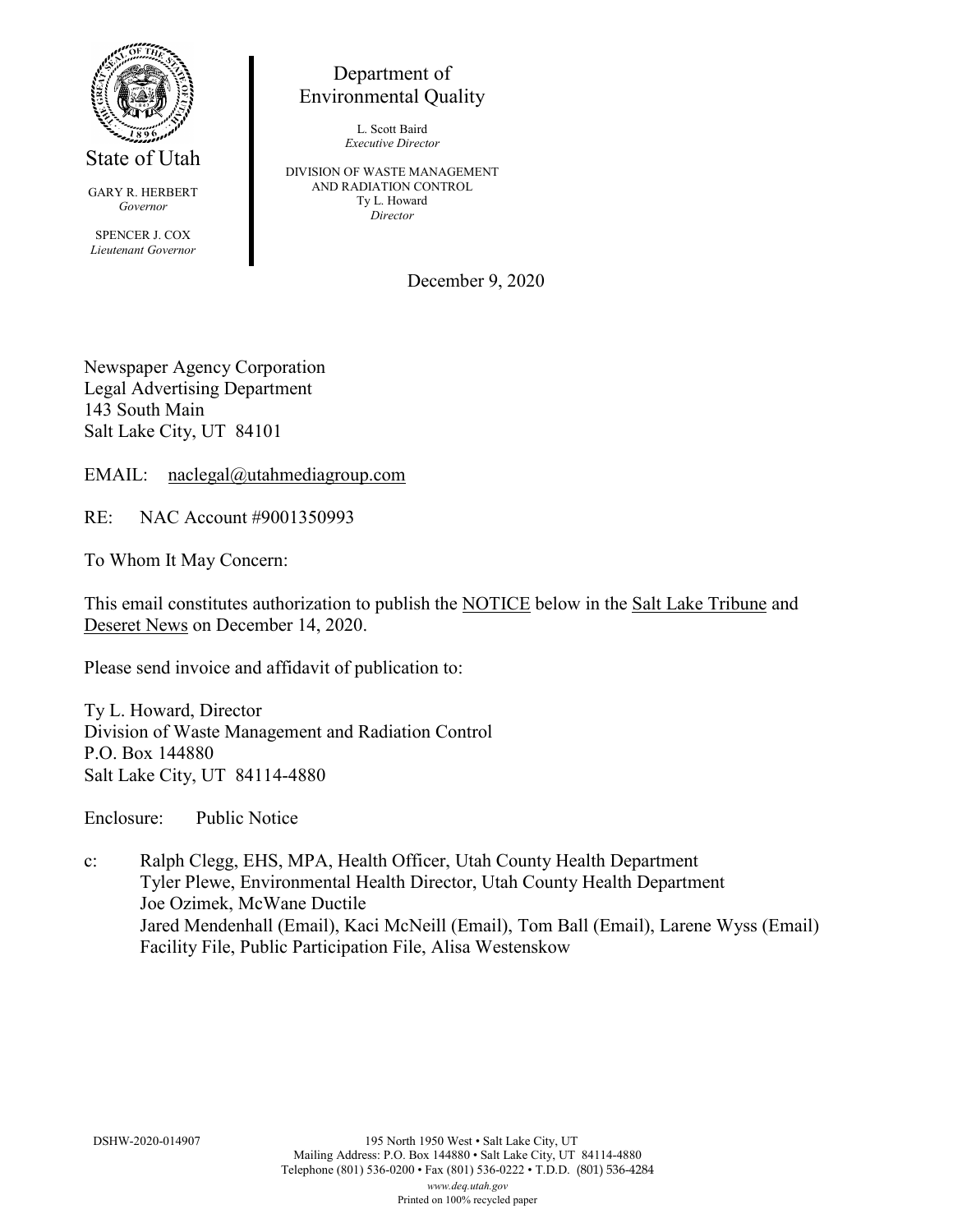

State of Utah

GARY R. HERBERT *Governor* SPENCER J. COX *Lieutenant Governor*

Department of Environmental Quality

> L. Scott Baird *Executive Director*

DIVISION OF WASTE MANAGEMENT AND RADIATION CONTROL Ty L. Howard *Director*

December 9, 2020

Newspaper Agency Corporation Legal Advertising Department 143 South Main Salt Lake City, UT 84101

EMAIL: naclegal@utahmediagroup.com

RE: NAC Account #9001350993

To Whom It May Concern:

This email constitutes authorization to publish the NOTICE below in the Salt Lake Tribune and Deseret News on December 14, 2020.

Please send invoice and affidavit of publication to:

Ty L. Howard, Director Division of Waste Management and Radiation Control P.O. Box 144880 Salt Lake City, UT 84114-4880

Enclosure: Public Notice

c: Ralph Clegg, EHS, MPA, Health Officer, Utah County Health Department Tyler Plewe, Environmental Health Director, Utah County Health Department Joe Ozimek, McWane Ductile Jared Mendenhall (Email), Kaci McNeill (Email), Tom Ball (Email), Larene Wyss (Email) Facility File, Public Participation File, Alisa Westenskow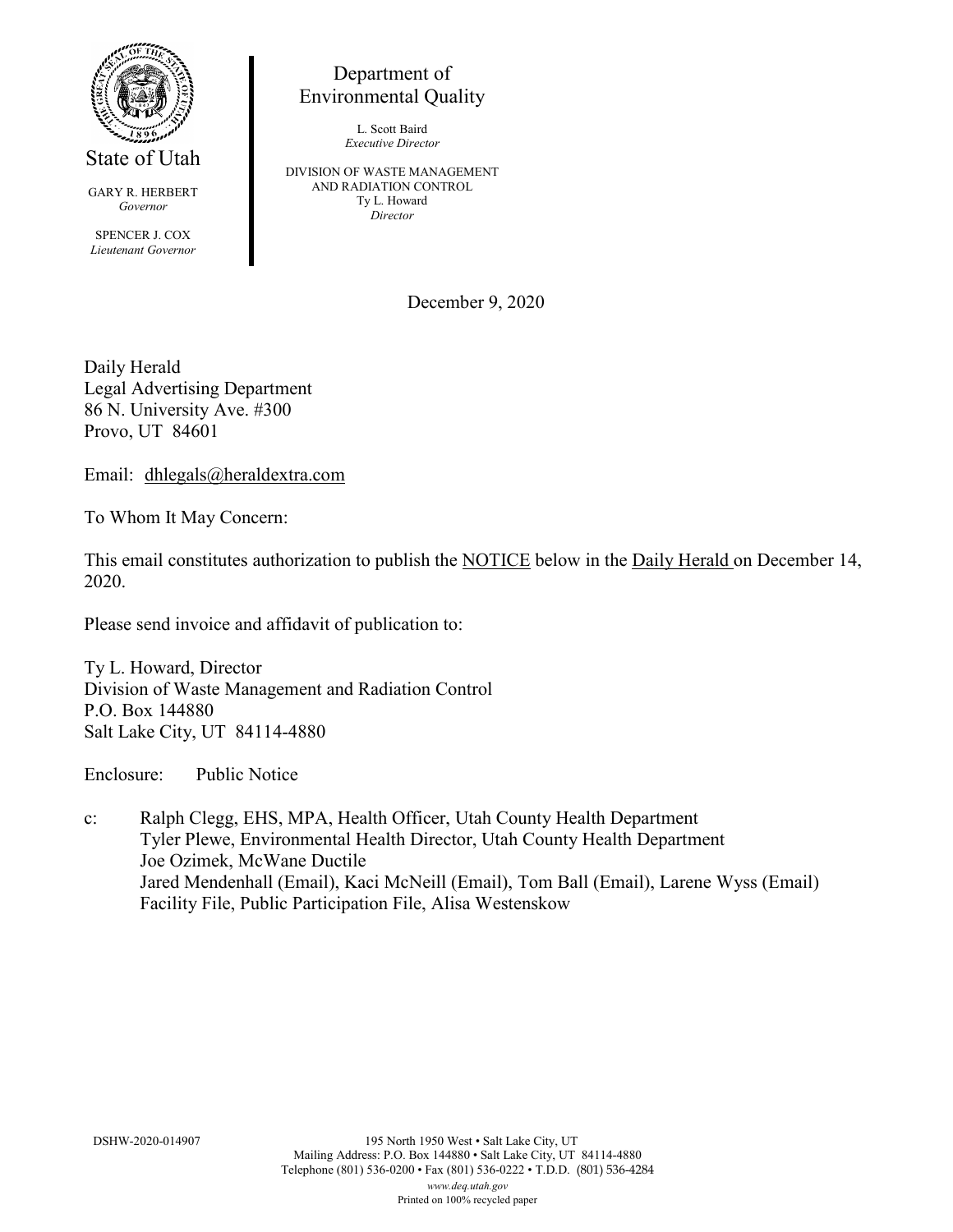

State of Utah

GARY R. HERBERT *Governor*

SPENCER J. COX *Lieutenant Governor*

Department of Environmental Quality

> L. Scott Baird *Executive Director*

DIVISION OF WASTE MANAGEMENT AND RADIATION CONTROL Ty L. Howard *Director*

December 9, 2020

Daily Herald Legal Advertising Department 86 N. University Ave. #300 Provo, UT 84601

Email: dhlegals@heraldextra.com

To Whom It May Concern:

This email constitutes authorization to publish the NOTICE below in the Daily Herald on December 14, 2020.

Please send invoice and affidavit of publication to:

Ty L. Howard, Director Division of Waste Management and Radiation Control P.O. Box 144880 Salt Lake City, UT 84114-4880

Enclosure: Public Notice

c: Ralph Clegg, EHS, MPA, Health Officer, Utah County Health Department Tyler Plewe, Environmental Health Director, Utah County Health Department Joe Ozimek, McWane Ductile Jared Mendenhall (Email), Kaci McNeill (Email), Tom Ball (Email), Larene Wyss (Email) Facility File, Public Participation File, Alisa Westenskow